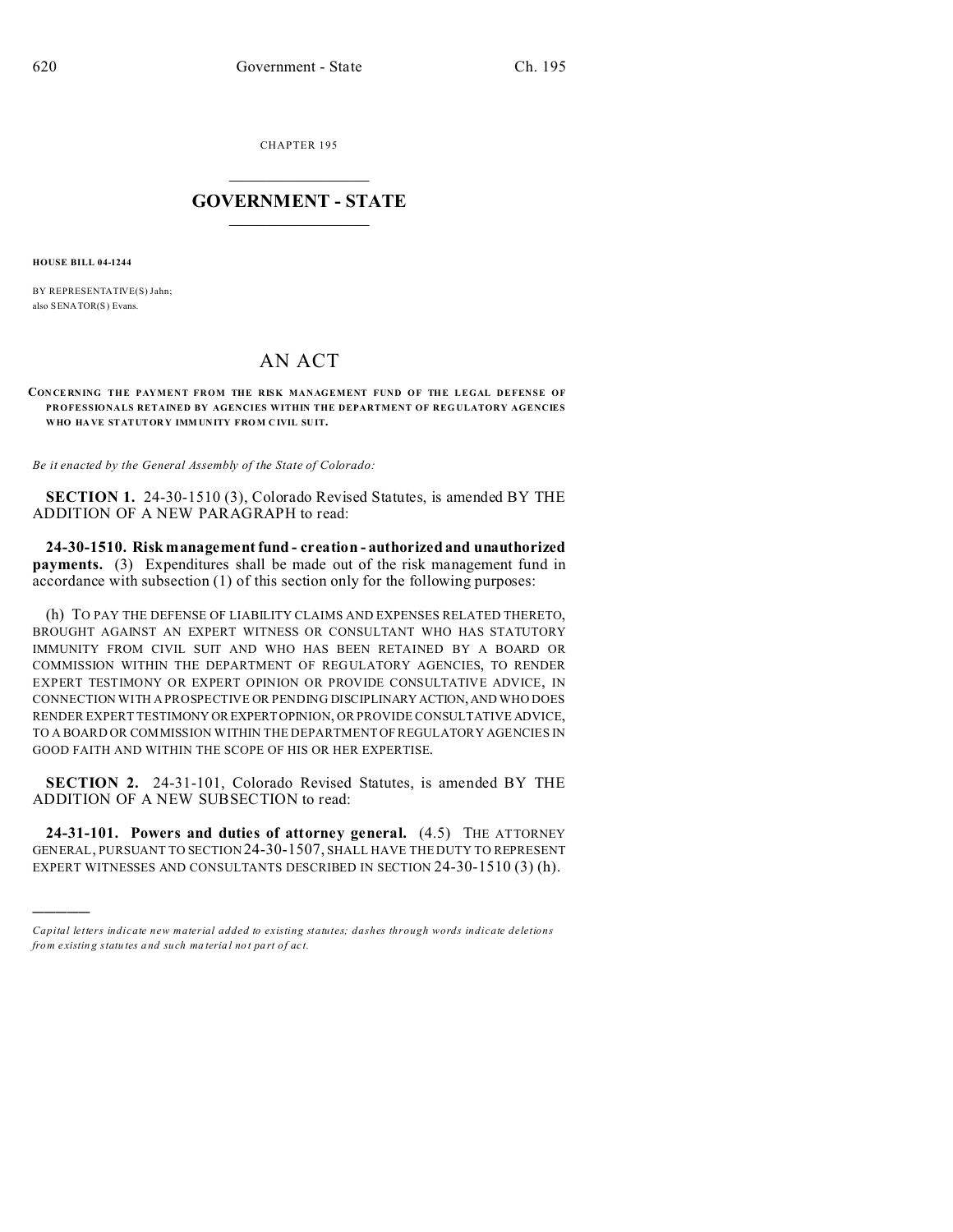CHAPTER 195  $\overline{\phantom{a}}$  , where  $\overline{\phantom{a}}$ 

## **GOVERNMENT - STATE**  $\_$   $\_$

**HOUSE BILL 04-1244**

)))))

BY REPRESENTATIVE(S) Jahn; also SENATOR(S) Evans.

## AN ACT

**CONCERNING THE PAYMENT FROM THE RISK MANAGEMENT FUND OF THE LEGAL DEFENSE OF PROFESSIONALS RETAINED BY AGENCIES WITHIN THE DEPARTMENT OF REG ULATORY AGENCIES WHO HA VE STATUTOR Y IMM UNITY FRO M C IVIL SUIT.**

*Be it enacted by the General Assembly of the State of Colorado:*

**SECTION 1.** 24-30-1510 (3), Colorado Revised Statutes, is amended BY THE ADDITION OF A NEW PARAGRAPH to read:

**24-30-1510. Risk management fund - creation - authorized and unauthorized payments.** (3) Expenditures shall be made out of the risk management fund in accordance with subsection (1) of this section only for the following purposes:

(h) TO PAY THE DEFENSE OF LIABILITY CLAIMS AND EXPENSES RELATED THERETO, BROUGHT AGAINST AN EXPERT WITNESS OR CONSULTANT WHO HAS STATUTORY IMMUNITY FROM CIVIL SUIT AND WHO HAS BEEN RETAINED BY A BOARD OR COMMISSION WITHIN THE DEPARTMENT OF REGULATORY AGENCIES, TO RENDER EXPERT TESTIMONY OR EXPERT OPINION OR PROVIDE CONSULTATIVE ADVICE, IN CONNECTION WITH A PROSPECTIVE OR PENDING DISCIPLINARY ACTION,AND WHO DOES RENDER EXPERT TESTIMONY OREXPERTOPINION, OR PROVIDE CONSULTATIVE ADVICE, TO A BOARD OR COMMISSION WITHIN THE DEPARTMENT OF REGULATORY AGENCIES IN GOOD FAITH AND WITHIN THE SCOPE OF HIS OR HER EXPERTISE.

**SECTION 2.** 24-31-101, Colorado Revised Statutes, is amended BY THE ADDITION OF A NEW SUBSECTION to read:

**24-31-101. Powers and duties of attorney general.** (4.5) THE ATTORNEY GENERAL, PURSUANT TO SECTION 24-30-1507, SHALL HAVE THE DUTY TO REPRESENT EXPERT WITNESSES AND CONSULTANTS DESCRIBED IN SECTION 24-30-1510 (3) (h).

*Capital letters indicate new material added to existing statutes; dashes through words indicate deletions from e xistin g statu tes a nd such ma teria l no t pa rt of ac t.*